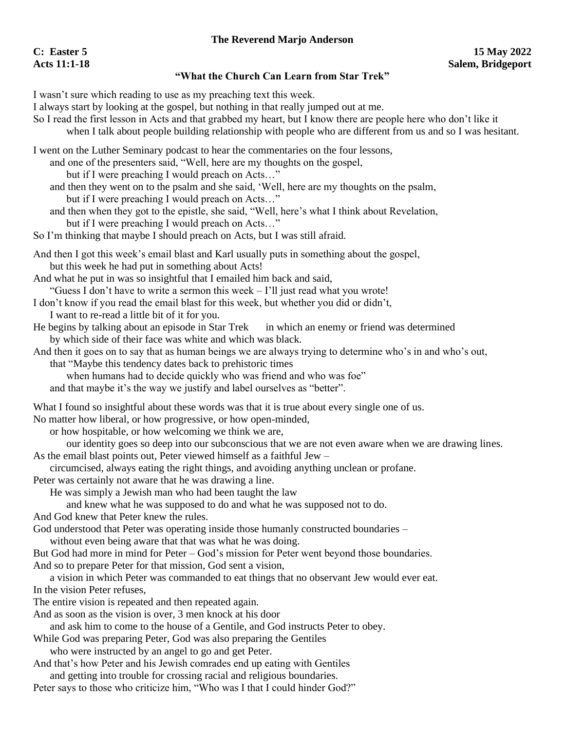## **The Reverend Marjo Anderson**

## **"What the Church Can Learn from Star Trek"**

I wasn't sure which reading to use as my preaching text this week.

- I always start by looking at the gospel, but nothing in that really jumped out at me.
- So I read the first lesson in Acts and that grabbed my heart, but I know there are people here who don't like it when I talk about people building relationship with people who are different from us and so I was hesitant.
- I went on the Luther Seminary podcast to hear the commentaries on the four lessons,
	- and one of the presenters said, "Well, here are my thoughts on the gospel,
		- but if I were preaching I would preach on Acts…"
	- and then they went on to the psalm and she said, 'Well, here are my thoughts on the psalm, but if I were preaching I would preach on Acts…"
	- and then when they got to the epistle, she said, "Well, here's what I think about Revelation, but if I were preaching I would preach on Acts…"
- So I'm thinking that maybe I should preach on Acts, but I was still afraid.
- And then I got this week's email blast and Karl usually puts in something about the gospel, but this week he had put in something about Acts!
- And what he put in was so insightful that I emailed him back and said,
- "Guess I don't have to write a sermon this week I'll just read what you wrote!
- I don't know if you read the email blast for this week, but whether you did or didn't,
- I want to re-read a little bit of it for you.
- He begins by talking about an episode in Star Trek in which an enemy or friend was determined by which side of their face was white and which was black.
- And then it goes on to say that as human beings we are always trying to determine who's in and who's out, that "Maybe this tendency dates back to prehistoric times
	- when humans had to decide quickly who was friend and who was foe"
	- and that maybe it's the way we justify and label ourselves as "better".
- What I found so insightful about these words was that it is true about every single one of us.
- No matter how liberal, or how progressive, or how open-minded,
	- or how hospitable, or how welcoming we think we are,
- our identity goes so deep into our subconscious that we are not even aware when we are drawing lines. As the email blast points out, Peter viewed himself as a faithful Jew –
- circumcised, always eating the right things, and avoiding anything unclean or profane.
- Peter was certainly not aware that he was drawing a line.
	- He was simply a Jewish man who had been taught the law
- and knew what he was supposed to do and what he was supposed not to do.
- And God knew that Peter knew the rules.
- God understood that Peter was operating inside those humanly constructed boundaries
	- without even being aware that that was what he was doing.
- But God had more in mind for Peter God's mission for Peter went beyond those boundaries. And so to prepare Peter for that mission, God sent a vision,
- a vision in which Peter was commanded to eat things that no observant Jew would ever eat. In the vision Peter refuses,
- The entire vision is repeated and then repeated again.
- And as soon as the vision is over, 3 men knock at his door
- and ask him to come to the house of a Gentile, and God instructs Peter to obey.
- While God was preparing Peter, God was also preparing the Gentiles
	- who were instructed by an angel to go and get Peter.
- And that's how Peter and his Jewish comrades end up eating with Gentiles
- and getting into trouble for crossing racial and religious boundaries.
- Peter says to those who criticize him, "Who was I that I could hinder God?"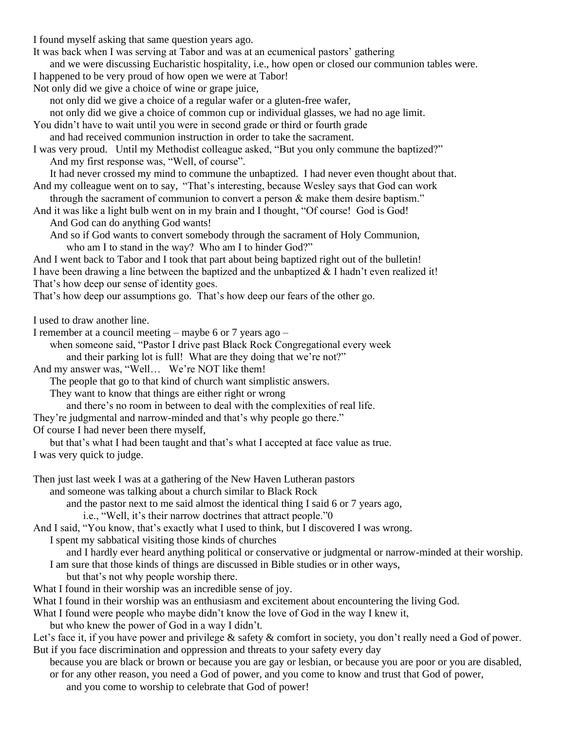I found myself asking that same question years ago. It was back when I was serving at Tabor and was at an ecumenical pastors' gathering and we were discussing Eucharistic hospitality, i.e., how open or closed our communion tables were. I happened to be very proud of how open we were at Tabor! Not only did we give a choice of wine or grape juice, not only did we give a choice of a regular wafer or a gluten-free wafer, not only did we give a choice of common cup or individual glasses, we had no age limit. You didn't have to wait until you were in second grade or third or fourth grade and had received communion instruction in order to take the sacrament. I was very proud. Until my Methodist colleague asked, "But you only commune the baptized?" And my first response was, "Well, of course". It had never crossed my mind to commune the unbaptized. I had never even thought about that. And my colleague went on to say, "That's interesting, because Wesley says that God can work through the sacrament of communion to convert a person & make them desire baptism." And it was like a light bulb went on in my brain and I thought, "Of course! God is God! And God can do anything God wants! And so if God wants to convert somebody through the sacrament of Holy Communion, who am I to stand in the way? Who am I to hinder God?" And I went back to Tabor and I took that part about being baptized right out of the bulletin! I have been drawing a line between the baptized and the unbaptized & I hadn't even realized it! That's how deep our sense of identity goes. That's how deep our assumptions go. That's how deep our fears of the other go. I used to draw another line. I remember at a council meeting – maybe 6 or 7 years ago – when someone said, "Pastor I drive past Black Rock Congregational every week and their parking lot is full! What are they doing that we're not?" And my answer was, "Well… We're NOT like them! The people that go to that kind of church want simplistic answers.

They want to know that things are either right or wrong

and there's no room in between to deal with the complexities of real life.

They're judgmental and narrow-minded and that's why people go there."

Of course I had never been there myself,

but that's what I had been taught and that's what I accepted at face value as true. I was very quick to judge.

Then just last week I was at a gathering of the New Haven Lutheran pastors

and someone was talking about a church similar to Black Rock

and the pastor next to me said almost the identical thing I said 6 or 7 years ago,

i.e., "Well, it's their narrow doctrines that attract people."0

And I said, "You know, that's exactly what I used to think, but I discovered I was wrong.

I spent my sabbatical visiting those kinds of churches

and I hardly ever heard anything political or conservative or judgmental or narrow-minded at their worship.

I am sure that those kinds of things are discussed in Bible studies or in other ways,

but that's not why people worship there.

What I found in their worship was an incredible sense of joy.

What I found in their worship was an enthusiasm and excitement about encountering the living God.

What I found were people who maybe didn't know the love of God in the way I knew it,

but who knew the power of God in a way I didn't.

Let's face it, if you have power and privilege & safety & comfort in society, you don't really need a God of power. But if you face discrimination and oppression and threats to your safety every day

because you are black or brown or because you are gay or lesbian, or because you are poor or you are disabled, or for any other reason, you need a God of power, and you come to know and trust that God of power,

and you come to worship to celebrate that God of power!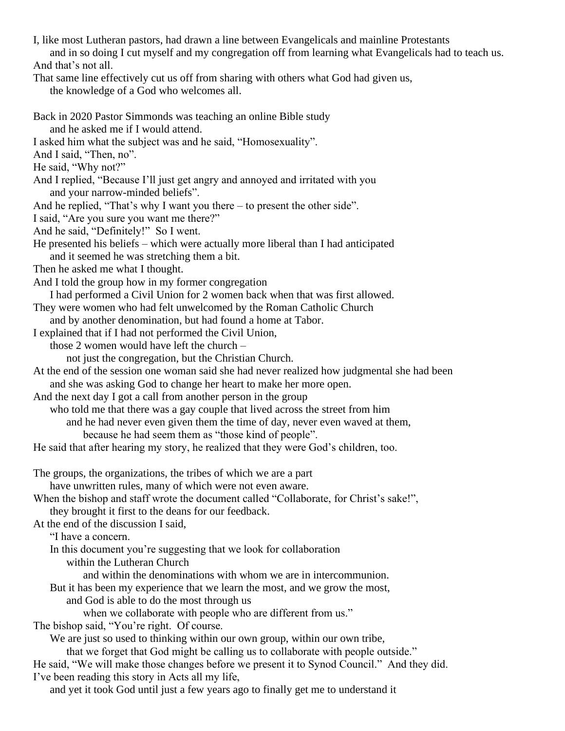I, like most Lutheran pastors, had drawn a line between Evangelicals and mainline Protestants and in so doing I cut myself and my congregation off from learning what Evangelicals had to teach us. And that's not all. That same line effectively cut us off from sharing with others what God had given us, the knowledge of a God who welcomes all. Back in 2020 Pastor Simmonds was teaching an online Bible study and he asked me if I would attend. I asked him what the subject was and he said, "Homosexuality". And I said, "Then, no". He said, "Why not?" And I replied, "Because I'll just get angry and annoyed and irritated with you and your narrow-minded beliefs". And he replied, "That's why I want you there – to present the other side". I said, "Are you sure you want me there?" And he said, "Definitely!" So I went. He presented his beliefs – which were actually more liberal than I had anticipated and it seemed he was stretching them a bit. Then he asked me what I thought. And I told the group how in my former congregation I had performed a Civil Union for 2 women back when that was first allowed. They were women who had felt unwelcomed by the Roman Catholic Church and by another denomination, but had found a home at Tabor. I explained that if I had not performed the Civil Union, those 2 women would have left the church – not just the congregation, but the Christian Church. At the end of the session one woman said she had never realized how judgmental she had been and she was asking God to change her heart to make her more open. And the next day I got a call from another person in the group who told me that there was a gay couple that lived across the street from him

and he had never even given them the time of day, never even waved at them, because he had seem them as "those kind of people".

He said that after hearing my story, he realized that they were God's children, too.

The groups, the organizations, the tribes of which we are a part

have unwritten rules, many of which were not even aware.

When the bishop and staff wrote the document called "Collaborate, for Christ's sake!", they brought it first to the deans for our feedback.

At the end of the discussion I said,

"I have a concern.

In this document you're suggesting that we look for collaboration

within the Lutheran Church

and within the denominations with whom we are in intercommunion.

But it has been my experience that we learn the most, and we grow the most,

and God is able to do the most through us

when we collaborate with people who are different from us."

The bishop said, "You're right. Of course.

We are just so used to thinking within our own group, within our own tribe,

that we forget that God might be calling us to collaborate with people outside."

He said, "We will make those changes before we present it to Synod Council." And they did. I've been reading this story in Acts all my life,

and yet it took God until just a few years ago to finally get me to understand it